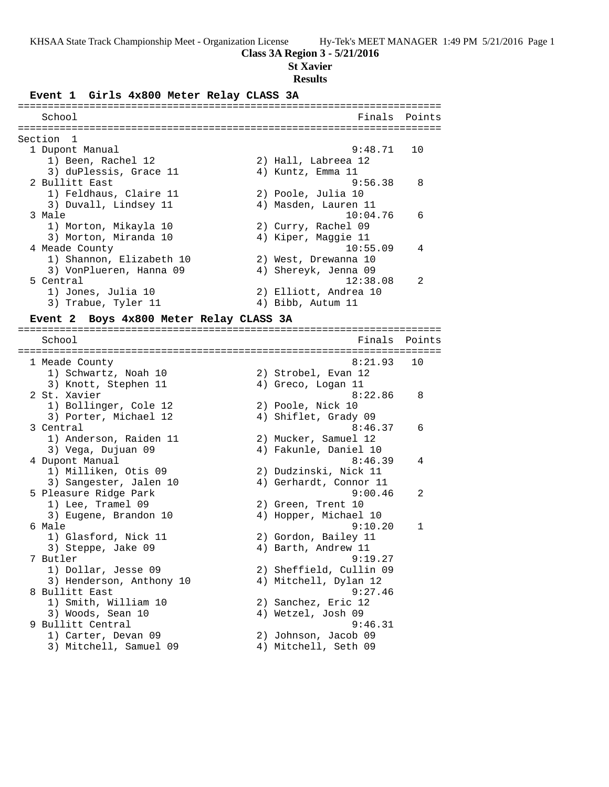# **Class 3A Region 3 - 5/21/2016**

#### **St Xavier**

#### **Results**

#### **Event 1 Girls 4x800 Meter Relay CLASS 3A**

| School                    | Finals                | Points        |
|---------------------------|-----------------------|---------------|
| Section<br>$\overline{1}$ |                       |               |
| 1 Dupont Manual           | 9:48.71               | 1 O           |
| 1) Been, Rachel 12        | 2) Hall, Labreea 12   |               |
| 3) duPlessis, Grace 11    | 4) Kuntz, Emma 11     |               |
| 2 Bullitt East            | 9:56.38               | $\mathsf{R}$  |
| 1) Feldhaus, Claire 11    | 2) Poole, Julia 10    |               |
| 3) Duvall, Lindsey 11     | 4) Masden, Lauren 11  |               |
| 3 Male                    | 10:04.76              | 6             |
| 1) Morton, Mikayla 10     | 2) Curry, Rachel 09   |               |
| 3) Morton, Miranda 10     | 4) Kiper, Maggie 11   |               |
| 4 Meade County            | 10:55.09              | 4             |
| 1) Shannon, Elizabeth 10  | 2) West, Drewanna 10  |               |
| 3) VonPlueren, Hanna 09   | 4) Shereyk, Jenna 09  |               |
| 5 Central                 | 12:38.08              | $\mathcal{D}$ |
| 1) Jones, Julia 10        | 2) Elliott, Andrea 10 |               |
| 3) Trabue, Tyler 11       | 4) Bibb, Autum 11     |               |
|                           |                       |               |

=======================================================================

#### **Event 2 Boys 4x800 Meter Relay CLASS 3A**

School **Finals** Points ======================================================================= 1 Meade County 8:21.93 10 1) Schwartz, Noah 10 2) Strobel, Evan 12 3) Knott, Stephen 11 (4) Greco, Logan 11 2 St. Xavier 8:22.86 8 1) Bollinger, Cole 12 2) Poole, Nick 10 3) Porter, Michael 12 4) Shiflet, Grady 09 3 Central 8:46.37 6 1) Anderson, Raiden 11 and 2) Mucker, Samuel 12 3) Vega, Dujuan 09 4) Fakunle, Daniel 10 4 Dupont Manual 8:46.39 4 1) Milliken, Otis 09 2) Dudzinski, Nick 11 3) Sangester, Jalen 10 4) Gerhardt, Connor 11 5 Pleasure Ridge Park 9:00.46 2 1) Lee, Tramel 09 2) Green, Trent 10 3) Eugene, Brandon 10 4) Hopper, Michael 10 6 Male 9:10.20 1 1) Glasford, Nick 11 2) Gordon, Bailey 11 3) Steppe, Jake 09 4) Barth, Andrew 11 7 Butler 9:19.27 1) Dollar, Jesse 09 2) Sheffield, Cullin 09 3) Henderson, Anthony 10 4) Mitchell, Dylan 12 8 Bullitt East 9:27.46 1) Smith, William 10 2) Sanchez, Eric 12 3) Woods, Sean 10 4) Wetzel, Josh 09 9 Bullitt Central 9:46.31 1) Carter, Devan 09 2) Johnson, Jacob 09 3) Mitchell, Samuel 09 4) Mitchell, Seth 09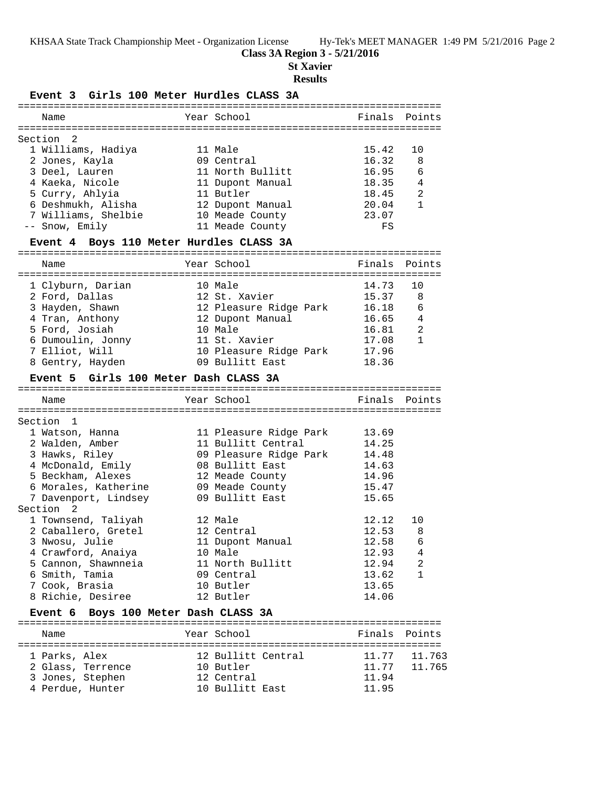# **Class 3A Region 3 - 5/21/2016**

**St Xavier**

#### **Results**

**Event 3 Girls 100 Meter Hurdles CLASS 3A**

| Name                                    | Year School      | Finals Points |                |
|-----------------------------------------|------------------|---------------|----------------|
|                                         |                  |               |                |
| Section 2                               |                  |               |                |
| 1 Williams, Hadiya                      | 11 Male          | 15.42         | 10             |
| 2 Jones, Kayla                          | 09 Central       | 16.32 8       |                |
| 3 Deel, Lauren                          | 11 North Bullitt | 16.95 6       |                |
| 4 Kaeka, Nicole                         | 11 Dupont Manual | 18.35         | $\overline{4}$ |
| 5 Curry, Ahlyia                         | 11 Butler        | 18.45         | 2              |
| 6 Deshmukh, Alisha                      | 12 Dupont Manual | 20.04         | $\mathbf{1}$   |
| 7 Williams, Shelbie                     | 10 Meade County  | 23.07         |                |
| -- Snow, Emily                          | 11 Meade County  | FS            |                |
|                                         |                  |               |                |
| Event 4 Boys 110 Meter Hurdles CLASS 3A |                  |               |                |
|                                         |                  |               |                |
| Name                                    | Year School      | Finals Points |                |
|                                         |                  |               |                |
| 1 Clyburn, Darian                       | 10 Male          | 14.73 10      |                |
| $2.50 \times 10^{-10}$                  | $12C+V_2$        | $1527$ $9$    |                |

| $\pm$ $\epsilon$ $\pm$ $\mu$ $\mu$ $\mu$ $\mu$ $\mu$ $\mu$ $\mu$ | $\pm$ 0 $\pm$ 1.1.4 $\pm$ 0 | __ _ _ _ <i>_</i> | $\overline{1}$ |
|------------------------------------------------------------------|-----------------------------|-------------------|----------------|
| 2 Ford, Dallas                                                   | 12 St. Xavier               | 15.37             | -8             |
| 3 Hayden, Shawn                                                  | 12 Pleasure Ridge Park      | 16.18             | - 6            |
| 4 Tran, Anthony                                                  | 12 Dupont Manual            | 16.65             | 4              |
| 5 Ford, Josiah                                                   | 10 Male                     | 16.81             | 2              |
| 6 Dumoulin, Jonny                                                | 11 St. Xavier               | 17.08             | 1              |
| 7 Elliot, Will                                                   | 10 Pleasure Ridge Park      | 17.96             |                |
| 8 Gentry, Hayden                                                 | 09 Bullitt East             | 18.36             |                |
|                                                                  |                             |                   |                |

# **Event 5 Girls 100 Meter Dash CLASS 3A**

| Name                                 | Year School and the School   | Finals Points |              |
|--------------------------------------|------------------------------|---------------|--------------|
|                                      |                              |               |              |
| Section 1                            |                              |               |              |
| 1 Watson, Hanna                      | 11 Pleasure Ridge Park 13.69 |               |              |
| 2 Walden, Amber                      | 11 Bullitt Central           | 14.25         |              |
| 3 Hawks, Riley                       | 09 Pleasure Ridge Park       | 14.48         |              |
| 4 McDonald, Emily                    | 08 Bullitt East              | 14.63         |              |
|                                      |                              | 14.96         |              |
| 6 Morales, Katherine 69 Meade County |                              | 15.47         |              |
| 7 Davenport, Lindsey                 | 09 Bullitt East              | 15.65         |              |
| Section 2                            |                              |               |              |
| 1 Townsend, Taliyah                  | 12 Male                      | 12.12         | 10           |
| 2 Caballero, Gretel                  | 12 Central                   | 12.53         | -8           |
| 3 Nwosu, Julie                       | 11 Dupont Manual             | 12.58         | 6            |
| 4 Crawford, Anaiya                   | 10 Male                      | 12.93         | 4            |
| 5 Cannon, Shawnneia                  | 11 North Bullitt             | 12.94         | 2            |
| 6 Smith, Tamia                       | 09 Central                   | 13.62         | $\mathbf{1}$ |
| 7 Cook, Brasia                       | 10 Butler                    | 13.65         |              |
| 8 Richie, Desiree                    | 12 Butler                    | 14.06         |              |
|                                      |                              |               |              |

# **Event 6 Boys 100 Meter Dash CLASS 3A**

| Name          |                   | Year School        | Finals Points |        |
|---------------|-------------------|--------------------|---------------|--------|
| 1 Parks, Alex |                   | 12 Bullitt Central | 11.77         | 11.763 |
|               | 2 Glass, Terrence | 10 Butler          | 11.77         | 11.765 |
|               | 3 Jones, Stephen  | 12 Central         | 11.94         |        |
|               | 4 Perdue, Hunter  | 10 Bullitt East    | 11.95         |        |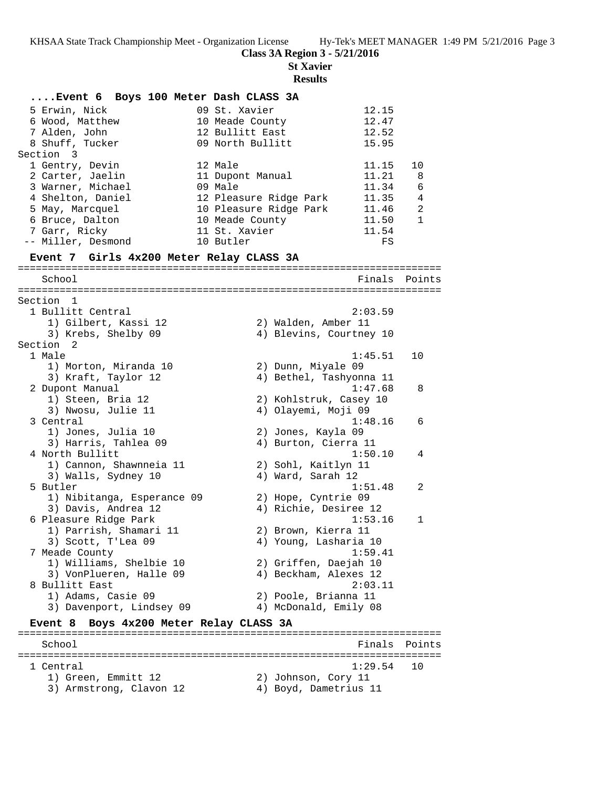**Class 3A Region 3 - 5/21/2016**

**St Xavier**

| Event 6 Boys 100 Meter Dash CLASS 3A                                                                                                                                                                                |                                                                                                                                                                                                                  |                                        |
|---------------------------------------------------------------------------------------------------------------------------------------------------------------------------------------------------------------------|------------------------------------------------------------------------------------------------------------------------------------------------------------------------------------------------------------------|----------------------------------------|
| 5 Erwin, Nick<br>6 Wood, Matthew<br>7 Alden, John<br>8 Shuff, Tucker                                                                                                                                                | 09 St. Xavier<br>12.15<br>12.47<br>10 Meade County<br>12 Bullitt East<br>12.52<br>09 North Bullitt<br>15.95                                                                                                      |                                        |
| Section 3<br>1 Gentry, Devin<br>2 Carter, Jaelin<br>3 Warner, Michael<br>4 Shelton, Daniel<br>5 May, Marcquel<br>6 Bruce, Dalton<br>7 Garr, Ricky<br>-- Miller, Desmond<br>Event 7 Girls 4x200 Meter Relay CLASS 3A | 11.15<br>12 Male<br>11.21<br>11 Dupont Manual<br>09 Male<br>11.34<br>12 Pleasure Ridge Park<br>11.35<br>10 Pleasure Ridge Park<br>11.46<br>10 Meade County<br>11.50<br>11 St. Xavier<br>11.54<br>10 Butler<br>FS | 10<br>8<br>6<br>4<br>2<br>$\mathbf{1}$ |
| School                                                                                                                                                                                                              | Finals                                                                                                                                                                                                           | Points                                 |
| Section 1<br>1 Bullitt Central<br>1) Gilbert, Kassi 12<br>3) Krebs, Shelby 09                                                                                                                                       | 2:03.59<br>2) Walden, Amber 11<br>4) Blevins, Courtney 10                                                                                                                                                        |                                        |
| Section <sub>2</sub><br>1 Male<br>1) Morton, Miranda 10                                                                                                                                                             | 1:45.51<br>2) Dunn, Miyale 09                                                                                                                                                                                    | 10                                     |
| 3) Kraft, Taylor 12<br>2 Dupont Manual<br>1) Steen, Bria 12                                                                                                                                                         | 4) Bethel, Tashyonna 11<br>1:47.68<br>2) Kohlstruk, Casey 10                                                                                                                                                     | 8                                      |
| 3) Nwosu, Julie 11<br>3 Central<br>1) Jones, Julia 10<br>3) Harris, Tahlea 09                                                                                                                                       | 4) Olayemi, Moji 09<br>1:48.16<br>2) Jones, Kayla 09<br>4) Burton, Cierra 11                                                                                                                                     | 6                                      |
| 4 North Bullitt<br>1) Cannon, Shawnneia 11<br>3) Walls, Sydney 10                                                                                                                                                   | 1:50.10<br>2) Sohl, Kaitlyn 11<br>4) Ward, Sarah 12                                                                                                                                                              | 4                                      |
| 5 Butler<br>1) Nibitanga, Esperance 09<br>3) Davis, Andrea 12                                                                                                                                                       | 1:51.48<br>2) Hope, Cyntrie 09<br>4) Richie, Desiree 12                                                                                                                                                          | 2                                      |
| 6 Pleasure Ridge Park<br>1) Parrish, Shamari 11<br>3) Scott, T'Lea 09<br>7 Meade County                                                                                                                             | 1:53.16<br>2) Brown, Kierra 11<br>4) Young, Lasharia 10<br>1:59.41                                                                                                                                               | 1                                      |
| 1) Williams, Shelbie 10<br>3) VonPlueren, Halle 09<br>8 Bullitt East<br>1) Adams, Casie 09                                                                                                                          | 2) Griffen, Daejah 10<br>4) Beckham, Alexes 12<br>2:03.11<br>2) Poole, Brianna 11                                                                                                                                |                                        |
| 3) Davenport, Lindsey 09<br>Boys 4x200 Meter Relay CLASS 3A<br>Event 8                                                                                                                                              | 4) McDonald, Emily 08                                                                                                                                                                                            |                                        |
| School                                                                                                                                                                                                              | Finals                                                                                                                                                                                                           | Points                                 |
| 1 Central<br>1) Green, Emmitt 12<br>3) Armstrong, Clavon 12                                                                                                                                                         | 1:29.54<br>2) Johnson, Cory 11<br>4) Boyd, Dametrius 11                                                                                                                                                          | 10                                     |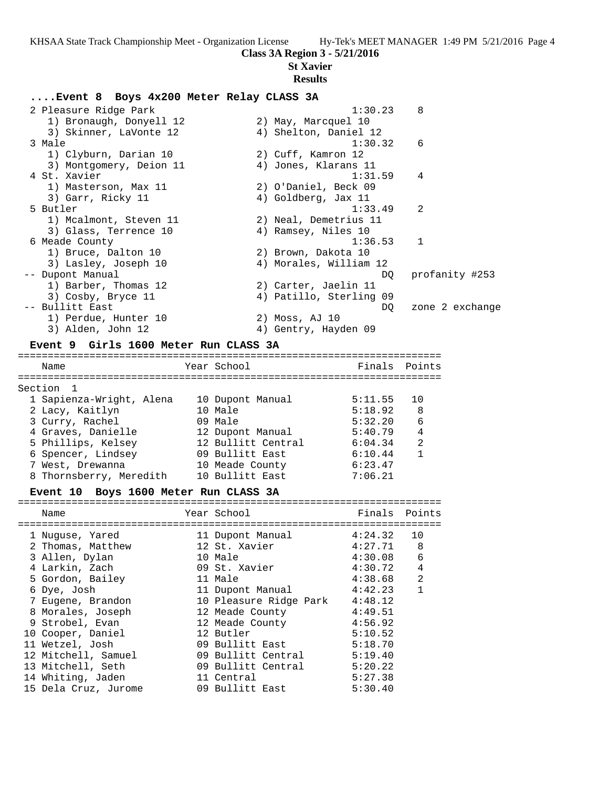**Class 3A Region 3 - 5/21/2016**

**St Xavier**

### **Results**

# **....Event 8 Boys 4x200 Meter Relay CLASS 3A**

| 2 Pleasure Ridge Park   | 1:30.23                 | 8               |
|-------------------------|-------------------------|-----------------|
| 1) Bronaugh, Donyell 12 | 2) May, Marcquel 10     |                 |
| 3) Skinner, LaVonte 12  | 4) Shelton, Daniel 12   |                 |
| 3 Male                  | 1:30.32                 | 6               |
| 1) Clyburn, Darian 10   | 2) Cuff, Kamron 12      |                 |
| 3) Montgomery, Deion 11 | 4) Jones, Klarans 11    |                 |
| 4 St. Xavier            | 1:31.59                 | 4               |
| 1) Masterson, Max 11    | 2) O'Daniel, Beck 09    |                 |
| 3) Garr, Ricky 11       | 4) Goldberg, Jax 11     |                 |
| 5 Butler                | 1:33.49                 | 2               |
| 1) Mcalmont, Steven 11  | 2) Neal, Demetrius 11   |                 |
| 3) Glass, Terrence 10   | 4) Ramsey, Niles 10     |                 |
| 6 Meade County          | $1:36.53$ 1             |                 |
| 1) Bruce, Dalton 10     | 2) Brown, Dakota 10     |                 |
| 3) Lasley, Joseph 10    | 4) Morales, William 12  |                 |
| -- Dupont Manual        | DO                      | profanity #253  |
| 1) Barber, Thomas 12    | 2) Carter, Jaelin 11    |                 |
| 3) Cosby, Bryce 11      | 4) Patillo, Sterling 09 |                 |
| -- Bullitt East         | DQ                      | zone 2 exchange |
| 1) Perdue, Hunter 10    | 2) Moss, AJ 10          |                 |
| 3) Alden, John 12       | 4) Gentry, Hayden 09    |                 |
|                         |                         |                 |

# **Event 9 Girls 1600 Meter Run CLASS 3A**

| Name                     | Year School        | Finals Points |                |
|--------------------------|--------------------|---------------|----------------|
| Section 1                |                    |               |                |
| 1 Sapienza-Wright, Alena | 10 Dupont Manual   | 5:11.55       | 10             |
| 2 Lacy, Kaitlyn          | 10 Male            | 5:18.92       | 8              |
| 3 Curry, Rachel          | 09 Male            | 5:32.20       | 6              |
| 4 Graves, Danielle       | 12 Dupont Manual   | 5:40.79       | $\overline{4}$ |
| 5 Phillips, Kelsey       | 12 Bullitt Central | 6:04.34       | 2              |
| 6 Spencer, Lindsey       | 09 Bullitt East    | 6:10.44       |                |
| 7 West, Drewanna         | 10 Meade County    | 6:23.47       |                |
| 8 Thornsberry, Meredith  | 10 Bullitt East    | 7:06.21       |                |

=======================================================================

# **Event 10 Boys 1600 Meter Run CLASS 3A**

| Name                 | Year School            | Finals  | Points         |
|----------------------|------------------------|---------|----------------|
| 1 Nuquse, Yared      | 11 Dupont Manual       | 4:24.32 | 10             |
| 2 Thomas, Matthew    | 12 St. Xavier          | 4:27.71 | 8              |
| 3 Allen, Dylan       | 10 Male                | 4:30.08 | 6              |
| 4 Larkin, Zach       | 09 St. Xavier          | 4:30.72 | $\overline{4}$ |
| 5 Gordon, Bailey     | 11 Male                | 4:38.68 | $\overline{2}$ |
| 6 Dye, Josh          | 11 Dupont Manual       | 4:42.23 | 1              |
| 7 Eugene, Brandon    | 10 Pleasure Ridge Park | 4:48.12 |                |
| 8 Morales, Joseph    | 12 Meade County        | 4:49.51 |                |
| 9 Strobel, Evan      | 12 Meade County        | 4:56.92 |                |
| 10 Cooper, Daniel    | 12 Butler              | 5:10.52 |                |
| 11 Wetzel, Josh      | 09 Bullitt East        | 5:18.70 |                |
| 12 Mitchell, Samuel  | 09 Bullitt Central     | 5:19.40 |                |
| 13 Mitchell, Seth    | 09 Bullitt Central     | 5:20.22 |                |
| 14 Whiting, Jaden    | 11 Central             | 5:27.38 |                |
| 15 Dela Cruz, Jurome | 09 Bullitt East        | 5:30.40 |                |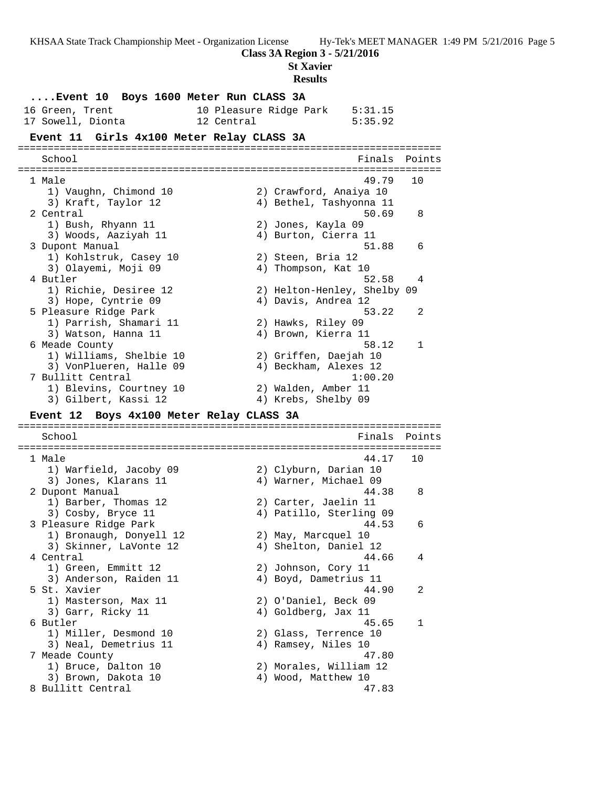**Class 3A Region 3 - 5/21/2016**

**St Xavier**

| Event 10 Boys 1600 Meter Run CLASS 3A     |            |                                |        |
|-------------------------------------------|------------|--------------------------------|--------|
| 16 Green, Trent                           |            | 10 Pleasure Ridge Park 5:31.15 |        |
| 17 Sowell, Dionta                         | 12 Central | 5:35.92                        |        |
|                                           |            |                                |        |
| Event 11 Girls 4x100 Meter Relay CLASS 3A |            |                                |        |
|                                           |            |                                |        |
| School                                    |            | Finals                         | Points |
|                                           |            |                                |        |
| 1 Male                                    |            | 49.79                          | 10     |
| 1) Vaughn, Chimond 10                     |            | 2) Crawford, Anaiya 10         |        |
| 3) Kraft, Taylor 12                       |            | 4) Bethel, Tashyonna 11        |        |
| 2 Central                                 |            | 50.69                          | 8      |
| 1) Bush, Rhyann 11                        |            | 2) Jones, Kayla 09             |        |
| 3) Woods, Aaziyah 11                      |            | 4) Burton, Cierra 11           |        |
| 3 Dupont Manual                           |            | 51.88                          | 6      |
| 1) Kohlstruk, Casey 10                    |            | 2) Steen, Bria 12              |        |
| 3) Olayemi, Moji 09                       |            | 4) Thompson, Kat 10            |        |
| 4 Butler                                  |            | 52.58                          | 4      |
| 1) Richie, Desiree 12                     |            | 2) Helton-Henley, Shelby 09    |        |
| 3) Hope, Cyntrie 09                       |            | 4) Davis, Andrea 12            |        |
| 5 Pleasure Ridge Park                     |            | 53.22                          | 2      |
| 1) Parrish, Shamari 11                    |            | 2) Hawks, Riley 09             |        |
| 3) Watson, Hanna 11                       |            | 4) Brown, Kierra 11            |        |
| 6 Meade County                            |            | 58.12                          | 1      |
| 1) Williams, Shelbie 10                   |            | 2) Griffen, Daejah 10          |        |
| 3) VonPlueren, Halle 09                   |            | 4) Beckham, Alexes 12          |        |
| 7 Bullitt Central                         |            | 1:00.20                        |        |
| 1) Blevins, Courtney 10                   |            | 2) Walden, Amber 11            |        |
| 3) Gilbert, Kassi 12                      |            | 4) Krebs, Shelby 09            |        |
|                                           |            |                                |        |
| Event 12 Boys 4x100 Meter Relay CLASS 3A  |            |                                |        |
|                                           |            |                                |        |
| School                                    |            | Finals                         | Points |
| 1 Male                                    |            | 44.17                          | 10     |
|                                           |            | 2) Clyburn, Darian 10          |        |
| 1) Warfield, Jacoby 09                    |            |                                |        |
| 3) Jones, Klarans 11                      |            | 4) Warner, Michael 09          |        |
| 2 Dupont Manual                           |            | 44.38                          | 8      |
| 1) Barber, Thomas 12                      |            | 2) Carter, Jaelin 11           |        |
| 3) Cosby, Bryce 11                        |            | 4) Patillo, Sterling 09        |        |
| 3 Pleasure Ridge Park                     |            | 44.53                          | 6      |
| 1) Bronaugh, Donyell 12                   |            | 2) May, Marcquel 10            |        |
| 3) Skinner, LaVonte 12                    |            | 4) Shelton, Daniel 12          |        |
| 4 Central                                 |            | 44.66                          | 4      |
| 1) Green, Emmitt 12                       |            | 2) Johnson, Cory 11            |        |
| 3) Anderson, Raiden 11                    |            | 4) Boyd, Dametrius 11          |        |
| 5 St. Xavier                              |            | 44.90                          | 2      |
| 1) Masterson, Max 11                      |            | 2) O'Daniel, Beck 09           |        |
|                                           |            | 4) Goldberg, Jax 11            |        |
| 3) Garr, Ricky 11                         |            |                                |        |
| 6 Butler                                  |            | 45.65                          | 1      |
| 1) Miller, Desmond 10                     |            | 2) Glass, Terrence 10          |        |
| 3) Neal, Demetrius 11                     |            | 4) Ramsey, Niles 10            |        |
| 7 Meade County                            |            | 47.80                          |        |
| 1) Bruce, Dalton 10                       |            | 2) Morales, William 12         |        |
| 3) Brown, Dakota 10                       |            | 4) Wood, Matthew 10            |        |
| 8 Bullitt Central                         |            | 47.83                          |        |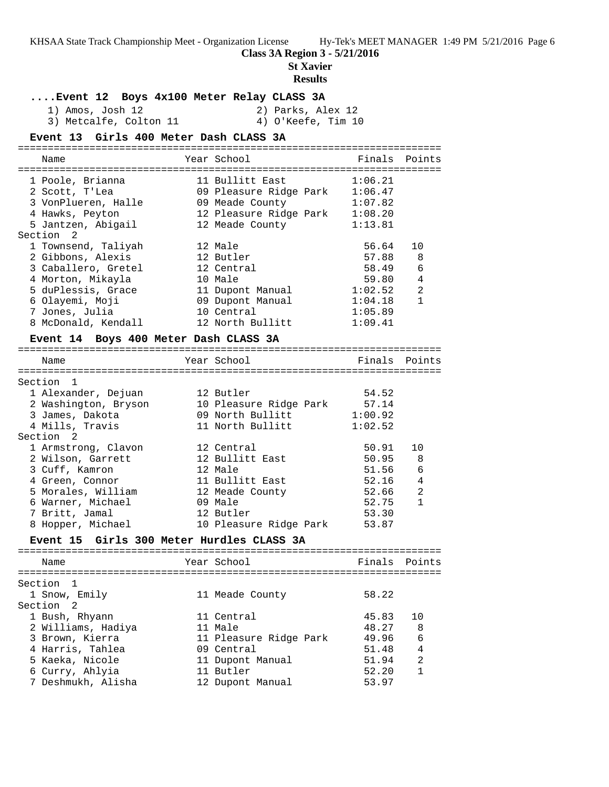**Class 3A Region 3 - 5/21/2016**

**St Xavier**

#### **Results**

# **....Event 12 Boys 4x100 Meter Relay CLASS 3A**

 1) Amos, Josh 12 2) Parks, Alex 12 3) Metcalfe, Colton 11 (4) O'Keefe, Tim 10

### **Event 13 Girls 400 Meter Dash CLASS 3A**

|                      | Name                |  | Year School            | Finals Points |                |  |  |
|----------------------|---------------------|--|------------------------|---------------|----------------|--|--|
|                      |                     |  |                        |               |                |  |  |
|                      | 1 Poole, Brianna    |  | 11 Bullitt East        | 1:06.21       |                |  |  |
|                      | 2 Scott, T'Lea      |  | 09 Pleasure Ridge Park | 1:06.47       |                |  |  |
|                      | 3 VonPlueren, Halle |  | 09 Meade County        | 1:07.82       |                |  |  |
|                      | 4 Hawks, Peyton     |  | 12 Pleasure Ridge Park | 1:08.20       |                |  |  |
|                      | 5 Jantzen, Abigail  |  | 12 Meade County        | 1:13.81       |                |  |  |
| Section <sub>2</sub> |                     |  |                        |               |                |  |  |
|                      | 1 Townsend, Taliyah |  | 12 Male                | 56.64         | 10             |  |  |
|                      | 2 Gibbons, Alexis   |  | 12 Butler              | 57.88         | 8              |  |  |
|                      | 3 Caballero, Gretel |  | 12 Central             | 58.49         | 6              |  |  |
|                      | 4 Morton, Mikayla   |  | 10 Male                | 59.80         | 4              |  |  |
|                      | 5 duPlessis, Grace  |  | 11 Dupont Manual       | 1:02.52       | $\mathfrak{D}$ |  |  |
|                      | 6 Olayemi, Moji     |  | 09 Dupont Manual       | 1:04.18       | 1              |  |  |
|                      | 7 Jones, Julia      |  | 10 Central             | 1:05.89       |                |  |  |
|                      | 8 McDonald, Kendall |  | 12 North Bullitt       | 1:09.41       |                |  |  |

#### **Event 14 Boys 400 Meter Dash CLASS 3A**

| Name                                                                                                                                                                                                     | Year School            |         | Finals Points  |
|----------------------------------------------------------------------------------------------------------------------------------------------------------------------------------------------------------|------------------------|---------|----------------|
|                                                                                                                                                                                                          |                        |         |                |
| Section<br>$\overline{1}$                                                                                                                                                                                |                        |         |                |
| 1 Alexander, Dejuan                                                                                                                                                                                      | 12 Butler              | 54.52   |                |
| 2 Washington, Bryson                                                                                                                                                                                     | 10 Pleasure Ridge Park | 57.14   |                |
| 3 James, Dakota                                                                                                                                                                                          | 09 North Bullitt       | 1:00.92 |                |
| 4 Mills, Travis                                                                                                                                                                                          | 11 North Bullitt       | 1:02.52 |                |
| Section <sub>2</sub>                                                                                                                                                                                     |                        |         |                |
| 1 Armstrong, Clavon                                                                                                                                                                                      | 12 Central             | 50.91   | 10             |
| 2 Wilson, Garrett                                                                                                                                                                                        | 12 Bullitt East        | 50.95 8 |                |
| 3 Cuff, Kamron                                                                                                                                                                                           | 12 Male                | 51.56   | 6              |
| 4 Green, Connor                                                                                                                                                                                          | 11 Bullitt East        | 52.16   | $\overline{4}$ |
| 5 Morales, William                                                                                                                                                                                       | 12 Meade County        | 52.66   | $\mathfrak{D}$ |
| 6 Warner, Michael                                                                                                                                                                                        | 09 Male                | 52.75   | $\mathbf{1}$   |
| 7 Britt, Jamal                                                                                                                                                                                           | 12 Butler              | 53.30   |                |
| 8 Hopper, Michael                                                                                                                                                                                        | 10 Pleasure Ridge Park | 53.87   |                |
| $E = 15$ $\sigma_{\text{rel}}^2$ $\sigma_{\text{rel}}^2$ $\sigma_{\text{rel}}^2$ $\sigma_{\text{rel}}^2$ $\sigma_{\text{rel}}^2$ $\sigma_{\text{rel}}^2$ $\sigma_{\text{rel}}^2$ $\sigma_{\text{rel}}^2$ |                        |         |                |

#### **Event 15 Girls 300 Meter Hurdles CLASS 3A**

| Name                       | Year School            | Finals Points |                |
|----------------------------|------------------------|---------------|----------------|
| Section 1                  |                        | 58.22         |                |
| 1 Snow, Emily<br>Section 2 | 11 Meade County        |               |                |
| 1 Bush, Rhyann             | 11 Central             | 45.83         | 10             |
| 2 Williams, Hadiya         | 11 Male                | 48.27         | 8              |
| 3 Brown, Kierra            | 11 Pleasure Ridge Park | 49.96         | - 6            |
| 4 Harris, Tahlea           | 09 Central             | 51.48         | 4              |
| 5 Kaeka, Nicole            | 11 Dupont Manual       | 51.94         | $\mathfrak{D}$ |
| 6 Curry, Ahlyia            | 11 Butler              | 52.20         | 1              |
| 7 Deshmukh, Alisha         | 12 Dupont Manual       | 53.97         |                |
|                            |                        |               |                |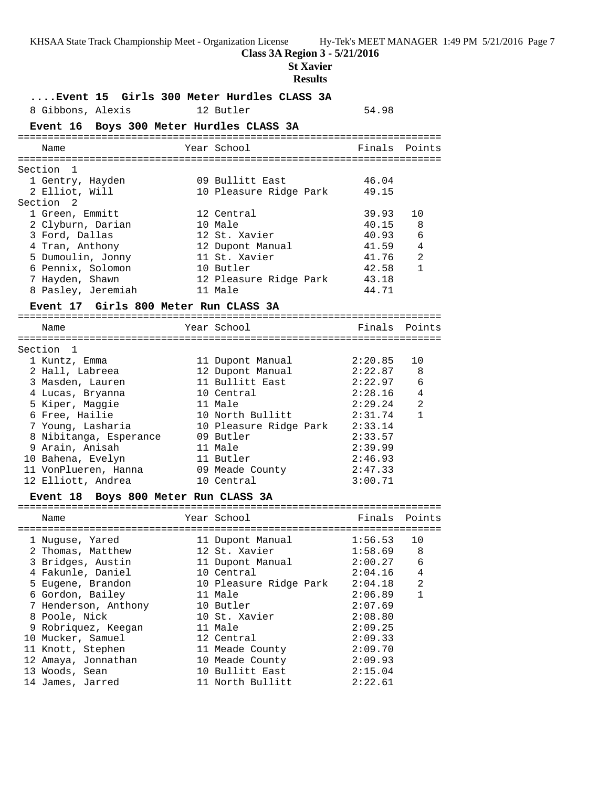**Class 3A Region 3 - 5/21/2016**

**St Xavier**

|         | Event 15 Girls 300 Meter Hurdles CLASS 3A |                                     |                    |                   |
|---------|-------------------------------------------|-------------------------------------|--------------------|-------------------|
|         | 8 Gibbons, Alexis                         | 12 Butler                           | 54.98              |                   |
|         | Event 16 Boys 300 Meter Hurdles CLASS 3A  |                                     |                    |                   |
|         | Name                                      | Year School                         |                    | Finals Points     |
| Section | -1                                        |                                     |                    |                   |
|         | 1 Gentry, Hayden                          | 09 Bullitt East                     | 46.04              |                   |
|         | 2 Elliot, Will                            | 10 Pleasure Ridge Park              | 49.15              |                   |
|         | Section <sub>2</sub>                      |                                     |                    |                   |
|         | 1 Green, Emmitt                           | 12 Central                          | 39.93              | 10                |
|         | 2 Clyburn, Darian                         | 10 Male                             | 40.15              | 8                 |
|         | 3 Ford, Dallas                            | 12 St. Xavier                       | 40.93              | 6                 |
|         | 4 Tran, Anthony                           | 12 Dupont Manual                    | 41.59              | 4                 |
|         | 5 Dumoulin, Jonny                         | 11 St. Xavier                       | 41.76              | 2                 |
|         | 6 Pennix, Solomon                         | 10 Butler                           | 42.58              | $\mathbf{1}$      |
|         | 7 Hayden, Shawn                           | 12 Pleasure Ridge Park              | 43.18              |                   |
|         | 8 Pasley, Jeremiah                        | 11 Male                             | 44.71              |                   |
|         | Event 17 Girls 800 Meter Run CLASS 3A     |                                     |                    |                   |
|         |                                           |                                     |                    |                   |
|         | Name                                      | Year School                         |                    | Finals Points     |
|         |                                           |                                     |                    |                   |
|         | Section 1                                 |                                     |                    |                   |
|         | 1 Kuntz, Emma                             | 11 Dupont Manual                    | 2:20.85            | 10                |
|         | 2 Hall, Labreea                           | 12 Dupont Manual                    | 2:22.87            | 8                 |
|         | 3 Masden, Lauren                          | 11 Bullitt East                     | 2:22.97            | 6                 |
|         | 4 Lucas, Bryanna                          | 10 Central                          | 2:28.16            | 4                 |
|         | 5 Kiper, Maggie                           | 11 Male                             | 2:29.24            | 2<br>$\mathbf{1}$ |
|         | 6 Free, Hailie                            | 10 North Bullitt                    | 2:31.74            |                   |
|         | 7 Young, Lasharia                         | 10 Pleasure Ridge Park<br>09 Butler | 2:33.14<br>2:33.57 |                   |
|         | 8 Nibitanga, Esperance<br>9 Arain, Anisah | 11 Male                             | 2:39.99            |                   |
|         | 10 Bahena, Evelyn                         | 11 Butler                           | 2:46.93            |                   |
|         | 11 VonPlueren, Hanna                      | 09 Meade County                     | 2:47.33            |                   |
|         | 12 Elliott, Andrea                        | 10 Central                          | 3:00.71            |                   |
|         |                                           |                                     |                    |                   |
|         | Event 18 Boys 800 Meter Run CLASS 3A      |                                     |                    |                   |
|         | Name                                      | Year School                         | Finals             | Points            |
|         | 1 Nuguse, Yared                           | 11 Dupont Manual                    | 1:56.53            | 10                |
|         | 2 Thomas, Matthew                         | 12 St. Xavier                       | 1:58.69            | 8                 |
|         | 3 Bridges, Austin                         | 11 Dupont Manual                    | 2:00.27            | 6                 |
|         | 4 Fakunle, Daniel                         | 10 Central                          | 2:04.16            | 4                 |
|         | 5 Eugene, Brandon                         | 10 Pleasure Ridge Park              | 2:04.18            | 2                 |
|         | 6 Gordon, Bailey                          | 11 Male                             | 2:06.89            | $\mathbf{1}$      |
|         | 7 Henderson, Anthony                      | 10 Butler                           | 2:07.69            |                   |
|         | 8 Poole, Nick                             | 10 St. Xavier                       | 2:08.80            |                   |
|         | 9 Robriquez, Keegan                       | 11 Male                             | 2:09.25            |                   |
|         | 10 Mucker, Samuel                         | 12 Central                          | 2:09.33            |                   |
|         | 11 Knott, Stephen                         | 11 Meade County                     | 2:09.70            |                   |
|         | 12 Amaya, Jonnathan                       | 10 Meade County                     | 2:09.93            |                   |
|         | 13 Woods, Sean                            | 10 Bullitt East                     | 2:15.04            |                   |
|         | 14 James, Jarred                          | 11 North Bullitt                    | 2:22.61            |                   |
|         |                                           |                                     |                    |                   |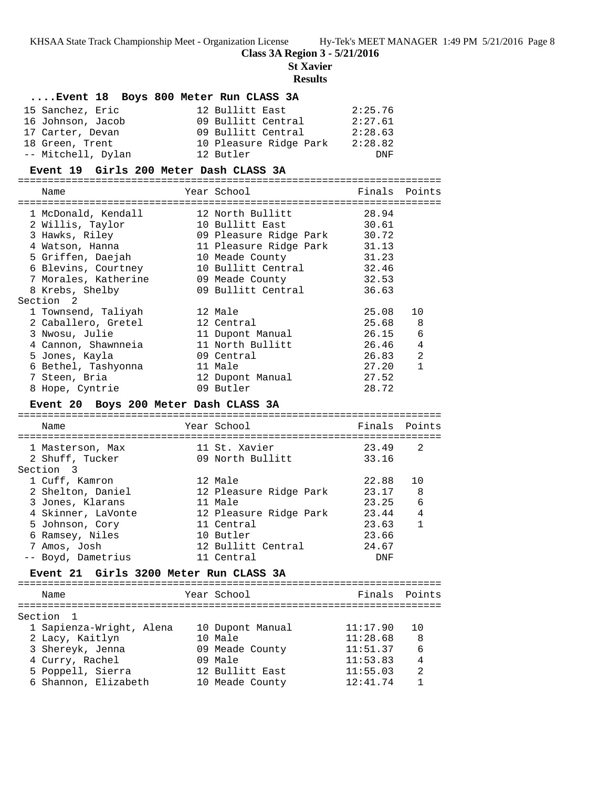**Class 3A Region 3 - 5/21/2016**

**St Xavier**

**Results**

#### **....Event 18 Boys 800 Meter Run CLASS 3A**

| 15 Sanchez, Eric   | 12 Bullitt East        | 2:25.76    |
|--------------------|------------------------|------------|
| 16 Johnson, Jacob  | 09 Bullitt Central     | 2:27.61    |
| 17 Carter, Devan   | 09 Bullitt Central     | 2:28.63    |
| 18 Green, Trent    | 10 Pleasure Ridge Park | 2:28.82    |
| -- Mitchell, Dylan | 12 Butler              | <b>DNF</b> |

**Event 19 Girls 200 Meter Dash CLASS 3A** ======================================================================= Name The Year School The Finals Points ======================================================================= 1 McDonald, Kendall 12 North Bullitt 28.94 2 Willis, Taylor 10 Bullitt East 30.61 3 Hawks, Riley 09 Pleasure Ridge Park 30.72 4 Watson, Hanna 11 Pleasure Ridge Park 31.13 5 Griffen, Daejah 10 Meade County 31.23 6 Blevins, Courtney 10 Bullitt Central 32.46 7 Morales, Katherine 09 Meade County 32.53 8 Krebs, Shelby 09 Bullitt Central 36.63 Section 2 1 Townsend, Taliyah 12 Male 25.08 10 2 Caballero, Gretel 12 Central 25.68 8 3 Nwosu, Julie 11 Dupont Manual 26.15 6 4 Cannon, Shawnneia 11 North Bullitt 26.46 4 5 Jones, Kayla 09 Central 26.83 2 6 Bethel, Tashyonna 11 Male 27.20 1 7 Steen, Bria 12 Dupont Manual 27.52 8 Hope, Cyntrie 09 Butler 28.72 **Event 20 Boys 200 Meter Dash CLASS 3A**

### ======================================================================= Year School **Finals** Points ======================================================================= 1 Masterson, Max 11 St. Xavier 23.49 2 2 Shuff, Tucker 09 North Bullitt 33.16 Section 3 1 Cuff, Kamron 12 Male 22.88 10 2 Shelton, Daniel 12 Pleasure Ridge Park 23.17 8 3 Jones, Klarans 11 Male 23.25 6 4 Skinner, LaVonte 12 Pleasure Ridge Park 23.44 4 5 Johnson, Cory 11 Central 23.63 1 6 Ramsey, Niles 10 Butler 23.66 7 Amos, Josh 12 Bullitt Central 24.67 -- Boyd, Dametrius 11 Central DNF

# **Event 21 Girls 3200 Meter Run CLASS 3A**

======================================================================= Name The Year School Control of Finals Points ======================================================================= Section 1 1 Sapienza-Wright, Alena 10 Dupont Manual 11:17.90 10 2 Lacy, Kaitlyn 10 Male 11:28.68 8 3 Shereyk, Jenna 09 Meade County 11:51.37 6 4 Curry, Rachel 09 Male 11:53.83 4 5 Poppell, Sierra 12 Bullitt East 11:55.03 2 6 Shannon, Elizabeth 10 Meade County 12:41.74 1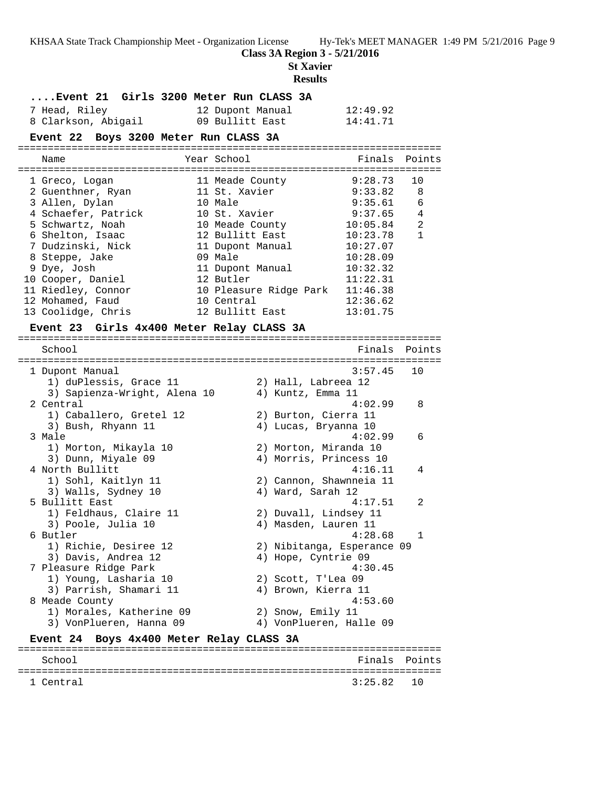**Class 3A Region 3 - 5/21/2016**

**St Xavier**

| Event 21 Girls 3200 Meter Run CLASS 3A       |                        |                                |              |
|----------------------------------------------|------------------------|--------------------------------|--------------|
| 7 Head, Riley                                | 12 Dupont Manual       | 12:49.92                       |              |
| 8 Clarkson, Abigail                          | 09 Bullitt East        | 14:41.71                       |              |
| Event 22 Boys 3200 Meter Run CLASS 3A        |                        |                                |              |
|                                              |                        |                                |              |
| Name                                         | Year School            | Finals                         | Points       |
| l Greco, Loqan                               | 11 Meade County        | 9:28.73                        | 10           |
| 2 Guenthner, Ryan                            | 11 St. Xavier          | 9:33.82                        | 8            |
| 3 Allen, Dylan                               | 10 Male                | 9:35.61                        | 6            |
| 4 Schaefer, Patrick                          | 10 St. Xavier          | 9:37.65                        | 4            |
| 5 Schwartz, Noah                             | 10 Meade County        | 10:05.84                       | 2            |
| 6 Shelton, Isaac                             | 12 Bullitt East        | 10:23.78                       | $\mathbf{1}$ |
| 7 Dudzinski, Nick                            | 11 Dupont Manual       | 10:27.07                       |              |
| 8 Steppe, Jake                               | 09 Male                | 10:28.09                       |              |
| 9 Dye, Josh                                  | 11 Dupont Manual       | 10:32.32                       |              |
| 10 Cooper, Daniel                            | 12 Butler              | 11:22.31                       |              |
| 11 Riedley, Connor                           | 10 Pleasure Ridge Park | 11:46.38                       |              |
| 12 Mohamed, Faud                             | 10 Central             | 12:36.62                       |              |
| 13 Coolidge, Chris                           | 12 Bullitt East        | 13:01.75                       |              |
| Event 23 Girls 4x400 Meter Relay CLASS 3A    |                        |                                |              |
| School                                       |                        | Finals                         |              |
|                                              |                        |                                | Points       |
| 1 Dupont Manual                              |                        | 3:57.45                        | 10           |
| 1) duPlessis, Grace 11                       |                        | 2) Hall, Labreea 12            |              |
| 3) Sapienza-Wright, Alena 10                 |                        | 4) Kuntz, Emma 11              |              |
| 2 Central                                    |                        | 4:02.99                        | 8            |
| 1) Caballero, Gretel 12                      |                        | 2) Burton, Cierra 11           |              |
| 3) Bush, Rhyann 11                           |                        | 4) Lucas, Bryanna 10           |              |
| 3 Male                                       |                        | 4:02.99                        | 6            |
| 1) Morton, Mikayla 10                        |                        | 2) Morton, Miranda 10          |              |
| 3) Dunn, Miyale 09                           |                        | 4) Morris, Princess 10         |              |
| 4 North Bullitt                              |                        | 4:16.11                        | 4            |
| 1) Sohl, Kaitlyn 11                          |                        | 2) Cannon, Shawnneia 11        |              |
| 3) Walls, Sydney 10                          |                        | 4) Ward, Sarah 12              |              |
| 5 Bullitt East                               |                        | 4:17.51                        | 2            |
| 1) Feldhaus, Claire 11                       |                        | 2) Duvall, Lindsey 11          |              |
| 3) Poole, Julia 10                           |                        | 4) Masden, Lauren 11           |              |
| 6 Butler                                     |                        | 4:28.68                        | 1            |
| 1) Richie, Desiree 12                        |                        | 2) Nibitanga, Esperance 09     |              |
| 3) Davis, Andrea 12<br>7 Pleasure Ridge Park |                        | 4) Hope, Cyntrie 09<br>4:30.45 |              |
| 1) Young, Lasharia 10                        |                        | 2) Scott, T'Lea 09             |              |
| 3) Parrish, Shamari 11                       |                        | 4) Brown, Kierra 11            |              |
| 8 Meade County                               |                        | 4:53.60                        |              |
| 1) Morales, Katherine 09                     |                        | 2) Snow, Emily 11              |              |
| 3) VonPlueren, Hanna 09                      |                        | 4) VonPlueren, Halle 09        |              |
| Event 24 Boys 4x400 Meter Relay CLASS 3A     |                        |                                |              |
|                                              |                        |                                |              |
| School                                       |                        | Finals                         | Points       |
| 1 Central                                    |                        | 3:25.82                        | 10           |